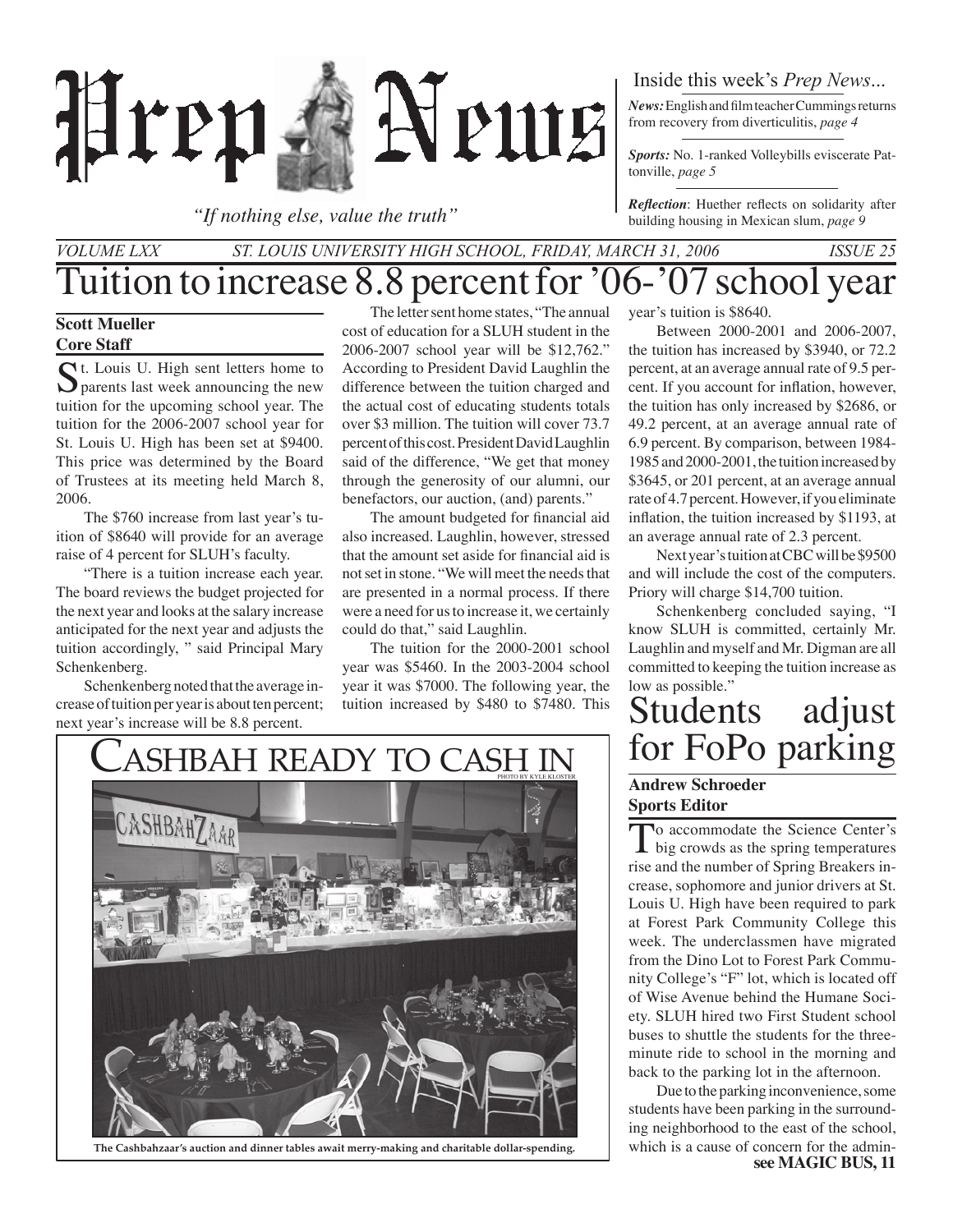

*"If nothing else, value the truth"*

## Inside this week's *Prep News*...

*News:* English and film teacher Cummings returns from recovery from diverticulitis, *page 4*

*Sports:* No. 1-ranked Volleybills eviscerate Pattonville, *page 5*

*Reflection*: Huether reflects on solidarity after building housing in Mexican slum, *page 9*

## Tuition to increase 8.8 percent for '06-'07 school year *St. Louis University High School, Friday, March 31, 2006 Issue 25 Volume LXX*

#### **Scott Mueller Core Staff**

St. Louis U. High sent letters home to  $\sum$  parents last week announcing the new tuition for the upcoming school year. The tuition for the 2006-2007 school year for St. Louis U. High has been set at \$9400. This price was determined by the Board of Trustees at its meeting held March 8, 2006.

 The \$760 increase from last year's tuition of \$8640 will provide for an average raise of 4 percent for SLUH's faculty.

"There is a tuition increase each year. The board reviews the budget projected for the next year and looks at the salary increase anticipated for the next year and adjusts the tuition accordingly, " said Principal Mary Schenkenberg.

Schenkenberg noted that the average increase of tuition per year is about ten percent; next year's increase will be 8.8 percent.

 The letter sent home states, "The annual cost of education for a SLUH student in the 2006-2007 school year will be \$12,762." According to President David Laughlin the difference between the tuition charged and the actual cost of educating students totals over \$3 million. The tuition will cover 73.7 percent of this cost. President David Laughlin said of the difference, "We get that money through the generosity of our alumni, our benefactors, our auction, (and) parents."

 The amount budgeted for financial aid also increased. Laughlin, however, stressed that the amount set aside for financial aid is not set in stone. "We will meet the needs that are presented in a normal process. If there were a need for us to increase it, we certainly could do that," said Laughlin.

The tuition for the 2000-2001 school year was \$5460. In the 2003-2004 school year it was \$7000. The following year, the tuition increased by \$480 to \$7480. This

year's tuition is \$8640.

 Between 2000-2001 and 2006-2007, the tuition has increased by \$3940, or 72.2 percent, at an average annual rate of 9.5 percent. If you account for inflation, however, the tuition has only increased by \$2686, or 49.2 percent, at an average annual rate of 6.9 percent. By comparison, between 1984- 1985 and 2000-2001, the tuition increased by \$3645, or 201 percent, at an average annual rate of 4.7 percent. However, if you eliminate inflation, the tuition increased by \$1193, at an average annual rate of 2.3 percent.

Next year's tuition at CBC will be \$9500 and will include the cost of the computers. Priory will charge \$14,700 tuition.

Schenkenberg concluded saying, "I know SLUH is committed, certainly Mr. Laughlin and myself and Mr. Digman are all committed to keeping the tuition increase as low as possible."

# Students adjust<br>for FoPo parking

#### **Andrew Schroeder Sports Editor**

To accommodate the Science Center's<br>big crowds as the spring temperatures rise and the number of Spring Breakers increase, sophomore and junior drivers at St. Louis U. High have been required to park at Forest Park Community College this week. The underclassmen have migrated from the Dino Lot to Forest Park Community College's "F" lot, which is located off of Wise Avenue behind the Humane Society. SLUH hired two First Student school buses to shuttle the students for the threeminute ride to school in the morning and back to the parking lot in the afternoon.

Due to the parking inconvenience, some students have been parking in the surrounding neighborhood to the east of the school,



**see MAGIC BUS, 11**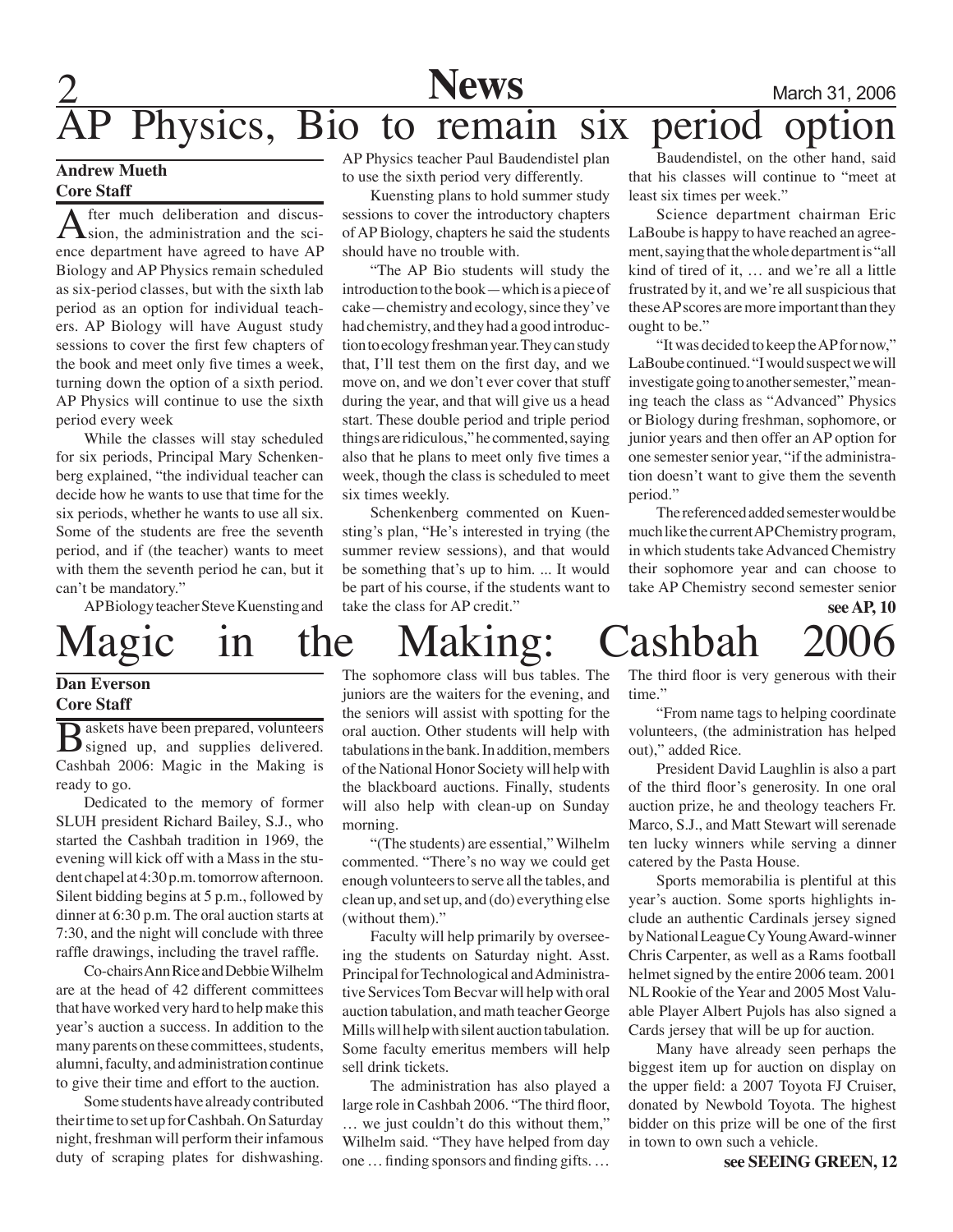

## **2** Mews March 31, 2006 Physics, Bio to remain six period

#### **Andrew Mueth Core Staff**

After much deliberation and discus-<br>
Sion, the administration and the science department have agreed to have AP Biology and AP Physics remain scheduled as six-period classes, but with the sixth lab period as an option for individual teachers. AP Biology will have August study sessions to cover the first few chapters of the book and meet only five times a week, turning down the option of a sixth period. AP Physics will continue to use the sixth period every week

While the classes will stay scheduled for six periods, Principal Mary Schenkenberg explained, "the individual teacher can decide how he wants to use that time for the six periods, whether he wants to use all six. Some of the students are free the seventh period, and if (the teacher) wants to meet with them the seventh period he can, but it can't be mandatory."

AP Biology teacher Steve Kuensting and

AP Physics teacher Paul Baudendistel plan to use the sixth period very differently.

Kuensting plans to hold summer study sessions to cover the introductory chapters of AP Biology, chapters he said the students should have no trouble with.

"The AP Bio students will study the introduction to the book—which is a piece of cake—chemistry and ecology, since they've had chemistry, and they had a good introduction to ecology freshman year. They can study that, I'll test them on the first day, and we move on, and we don't ever cover that stuff during the year, and that will give us a head start. These double period and triple period things are ridiculous," he commented, saying also that he plans to meet only five times a week, though the class is scheduled to meet six times weekly.

Schenkenberg commented on Kuensting's plan, "He's interested in trying (the summer review sessions), and that would be something that's up to him. ... It would be part of his course, if the students want to take the class for AP credit."

 Baudendistel, on the other hand, said that his classes will continue to "meet at least six times per week."

Science department chairman Eric LaBoube is happy to have reached an agreement, saying that the whole department is "all kind of tired of it, … and we're all a little frustrated by it, and we're all suspicious that these AP scores are more important than they ought to be."

"It was decided to keep the AP for now," LaBoube continued. "I would suspect we will investigate going to another semester," meaning teach the class as "Advanced" Physics or Biology during freshman, sophomore, or junior years and then offer an AP option for one semester senior year, "if the administration doesn't want to give them the seventh period."

 The referenced added semester would be much like the current AP Chemistry program, in which students take Advanced Chemistry their sophomore year and can choose to take AP Chemistry second semester senior

## **see AP, 10** Magic in the Making: Cashbah

### **Dan Everson Core Staff**

B askets have been prepared, volunteers<br>
Signed up, and supplies delivered. Cashbah 2006: Magic in the Making is ready to go.

Dedicated to the memory of former SLUH president Richard Bailey, S.J., who started the Cashbah tradition in 1969, the evening will kick off with a Mass in the student chapel at 4:30 p.m. tomorrow afternoon. Silent bidding begins at 5 p.m., followed by dinner at 6:30 p.m. The oral auction starts at 7:30, and the night will conclude with three raffle drawings, including the travel raffle.

Co-chairs Ann Rice and Debbie Wilhelm are at the head of 42 different committees that have worked very hard to help make this year's auction a success. In addition to the many parents on these committees, students, alumni, faculty, and administration continue to give their time and effort to the auction.

Some students have already contributed their time to set up for Cashbah. On Saturday night, freshman will perform their infamous duty of scraping plates for dishwashing.

The sophomore class will bus tables. The juniors are the waiters for the evening, and the seniors will assist with spotting for the oral auction. Other students will help with tabulations in the bank. In addition, members of the National Honor Society will help with the blackboard auctions. Finally, students will also help with clean-up on Sunday morning.

"(The students) are essential," Wilhelm commented. "There's no way we could get enough volunteers to serve all the tables, and clean up, and set up, and (do) everything else (without them)."

Faculty will help primarily by overseeing the students on Saturday night. Asst. Principal for Technological and Administrative Services Tom Becvar will help with oral auction tabulation, and math teacher George Mills will help with silent auction tabulation. Some faculty emeritus members will help sell drink tickets.

 The administration has also played a large role in Cashbah 2006. "The third floor, … we just couldn't do this without them," Wilhelm said. "They have helped from day one … finding sponsors and finding gifts. …

The third floor is very generous with their time."

"From name tags to helping coordinate volunteers, (the administration has helped out)," added Rice.

President David Laughlin is also a part of the third floor's generosity. In one oral auction prize, he and theology teachers Fr. Marco, S.J., and Matt Stewart will serenade ten lucky winners while serving a dinner catered by the Pasta House.

Sports memorabilia is plentiful at this year's auction. Some sports highlights include an authentic Cardinals jersey signed by National League Cy Young Award-winner Chris Carpenter, as well as a Rams football helmet signed by the entire 2006 team. 2001 NLRookie of the Year and 2005 Most Valuable Player Albert Pujols has also signed a Cards jersey that will be up for auction.

Many have already seen perhaps the biggest item up for auction on display on the upper field: a 2007 Toyota FJ Cruiser, donated by Newbold Toyota. The highest bidder on this prize will be one of the first in town to own such a vehicle.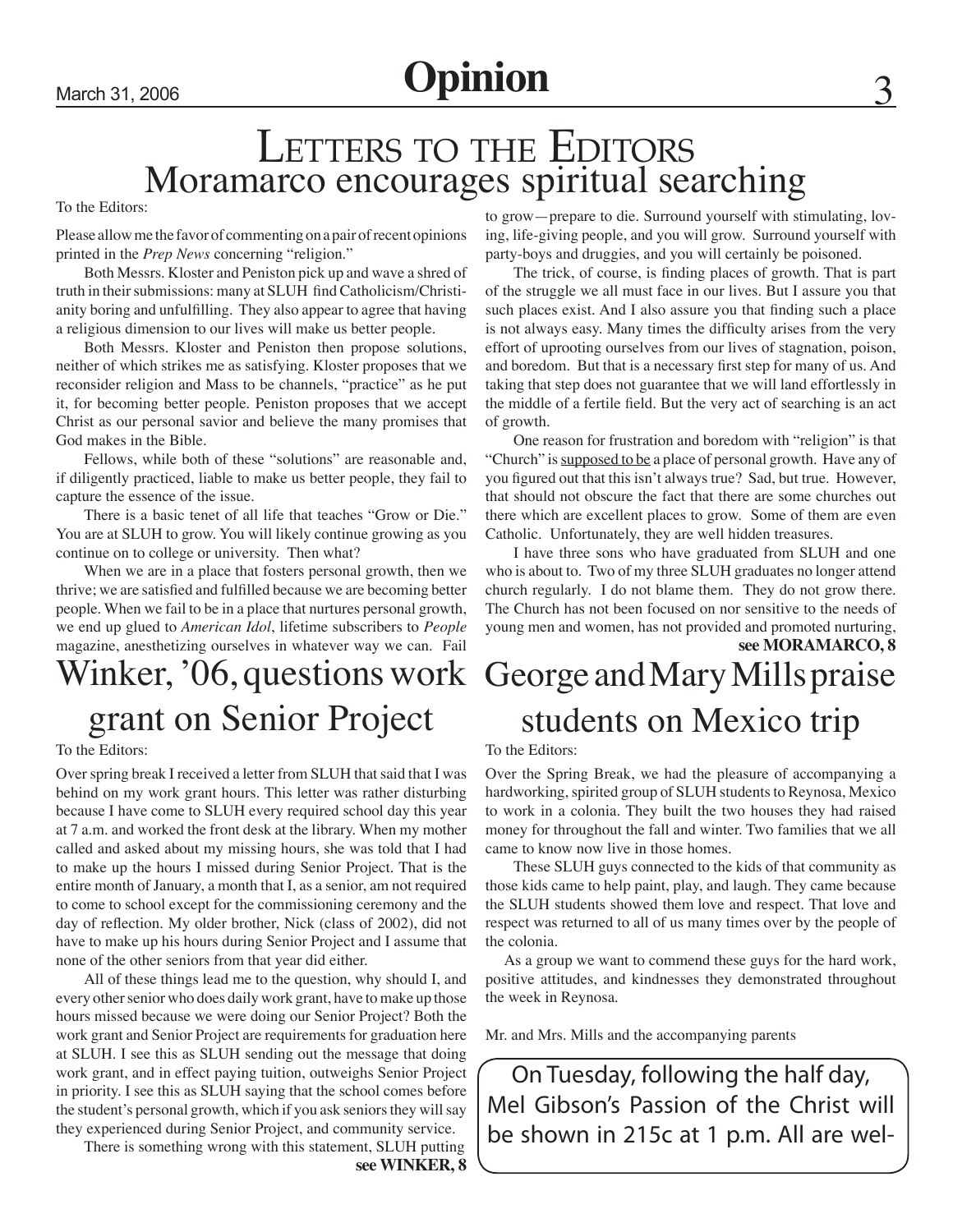## March 31, 2006 **Opinion**

## LETTERS TO THE EDITORS Moramarco encourages spiritual searching

To the Editors:

Please allow me the favor of commenting on a pair of recent opinions printed in the *Prep News* concerning "religion."

 Both Messrs. Kloster and Peniston pick up and wave a shred of truth in their submissions: many at SLUH find Catholicism/Christianity boring and unfulfilling. They also appear to agree that having a religious dimension to our lives will make us better people.

 Both Messrs. Kloster and Peniston then propose solutions, neither of which strikes me as satisfying. Kloster proposes that we reconsider religion and Mass to be channels, "practice" as he put it, for becoming better people. Peniston proposes that we accept Christ as our personal savior and believe the many promises that God makes in the Bible.

Fellows, while both of these "solutions" are reasonable and, if diligently practiced, liable to make us better people, they fail to capture the essence of the issue.

 There is a basic tenet of all life that teaches "Grow or Die." You are at SLUH to grow. You will likely continue growing as you continue on to college or university. Then what?

When we are in a place that fosters personal growth, then we thrive; we are satisfied and fulfilled because we are becoming better people. When we fail to be in a place that nurtures personal growth, we end up glued to *American Idol*, lifetime subscribers to *People* magazine, anesthetizing ourselves in whatever way we can. Fail

## Winker, '06, questions work grant on Senior Project

To the Editors:

Over spring break I received a letter from SLUH that said that I was behind on my work grant hours. This letter was rather disturbing because I have come to SLUH every required school day this year at 7 a.m. and worked the front desk at the library. When my mother called and asked about my missing hours, she was told that I had to make up the hours I missed during Senior Project. That is the entire month of January, a month that I, as a senior, am not required to come to school except for the commissioning ceremony and the day of reflection. My older brother, Nick (class of 2002), did not have to make up his hours during Senior Project and I assume that none of the other seniors from that year did either.

All of these things lead me to the question, why should I, and every other senior who does daily work grant, have to make up those hours missed because we were doing our Senior Project? Both the work grant and Senior Project are requirements for graduation here at SLUH. I see this as SLUH sending out the message that doing work grant, and in effect paying tuition, outweighs Senior Project in priority. I see this as SLUH saying that the school comes before the student's personal growth, which if you ask seniors they will say they experienced during Senior Project, and community service.

There is something wrong with this statement, SLUH putting

**see WINKER, 8**

to grow—prepare to die. Surround yourself with stimulating, loving, life-giving people, and you will grow. Surround yourself with party-boys and druggies, and you will certainly be poisoned.

 The trick, of course, is finding places of growth. That is part of the struggle we all must face in our lives. But I assure you that such places exist. And I also assure you that finding such a place is not always easy. Many times the difficulty arises from the very effort of uprooting ourselves from our lives of stagnation, poison, and boredom. But that is a necessary first step for many of us. And taking that step does not guarantee that we will land effortlessly in the middle of a fertile field. But the very act of searching is an act of growth.

 One reason for frustration and boredom with "religion" is that "Church" is supposed to be a place of personal growth. Have any of you figured out that this isn't always true? Sad, but true. However, that should not obscure the fact that there are some churches out there which are excellent places to grow. Some of them are even Catholic. Unfortunately, they are well hidden treasures.

I have three sons who have graduated from SLUH and one who is about to. Two of my three SLUH graduates no longer attend church regularly. I do not blame them. They do not grow there. The Church has not been focused on nor sensitive to the needs of young men and women, has not provided and promoted nurturing,

## George and Mary Mills praise students on Mexico trip **see MORAMARCO, 8**

#### To the Editors:

Over the Spring Break, we had the pleasure of accompanying a hardworking, spirited group of SLUH students to Reynosa, Mexico to work in a colonia. They built the two houses they had raised money for throughout the fall and winter. Two families that we all came to know now live in those homes.

 These SLUH guys connected to the kids of that community as those kids came to help paint, play, and laugh. They came because the SLUH students showed them love and respect. That love and respect was returned to all of us many times over by the people of the colonia.

 As a group we want to commend these guys for the hard work, positive attitudes, and kindnesses they demonstrated throughout the week in Reynosa.

Mr. and Mrs. Mills and the accompanying parents

On Tuesday, following the half day, Mel Gibson's Passion of the Christ will be shown in 215c at 1 p.m. All are wel-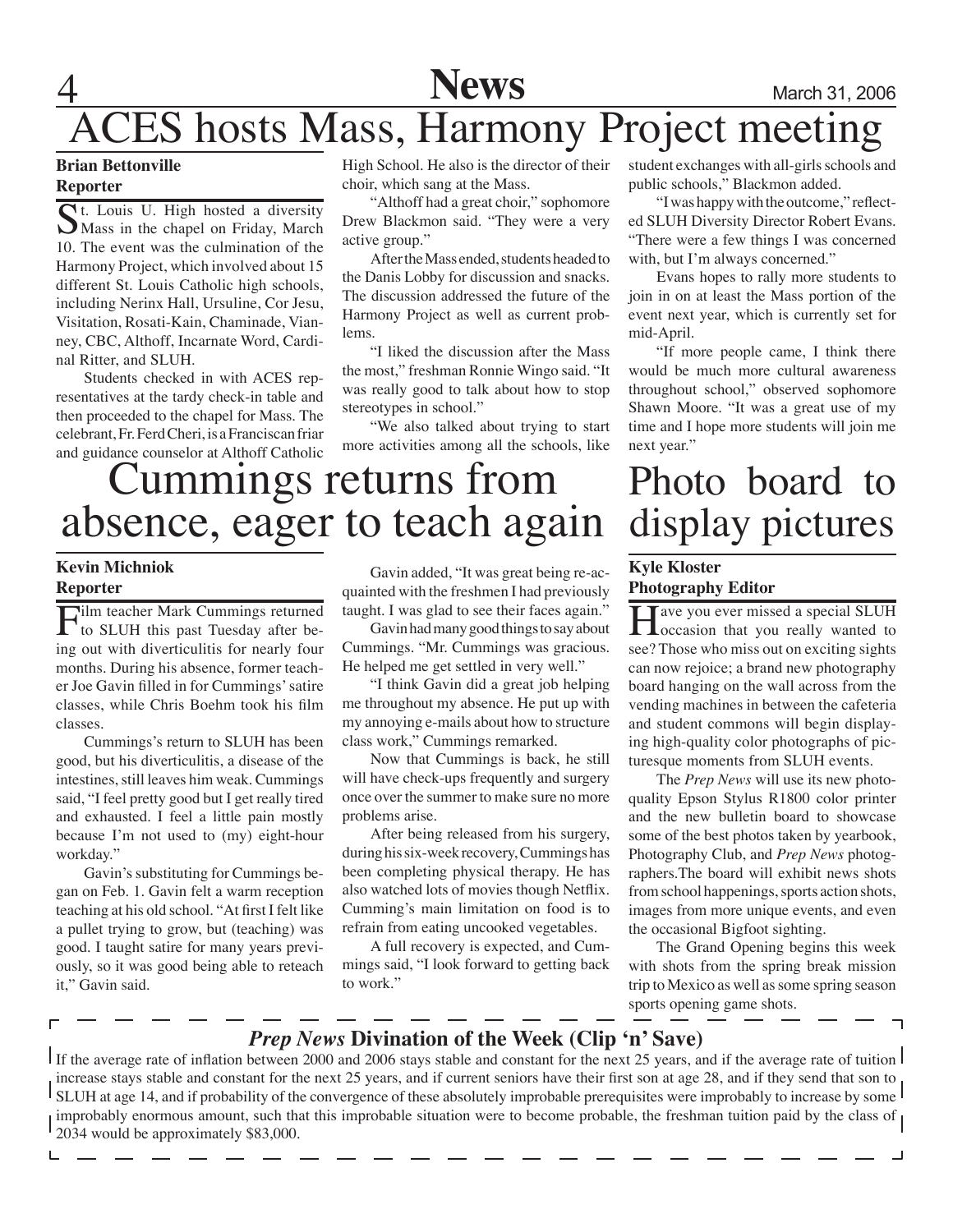## **News** March 31, 2006 CES hosts Mass, Harmony Project meeting

#### **Brian Bettonville Reporter**

Ct. Louis U. High hosted a diversity Mass in the chapel on Friday, March 10. The event was the culmination of the Harmony Project, which involved about 15 different St. Louis Catholic high schools, including Nerinx Hall, Ursuline, Cor Jesu, Visitation, Rosati-Kain, Chaminade, Vianney, CBC, Althoff, Incarnate Word, Cardinal Ritter, and SLUH.

Students checked in with ACES representatives at the tardy check-in table and then proceeded to the chapel for Mass. The celebrant, Fr. Ferd Cheri, is a Franciscan friar and guidance counselor at Althoff Catholic High School. He also is the director of their choir, which sang at the Mass.

"Althoff had a great choir," sophomore Drew Blackmon said. "They were a very active group."

After the Mass ended, students headed to the Danis Lobby for discussion and snacks. The discussion addressed the future of the Harmony Project as well as current problems.

"I liked the discussion after the Mass the most," freshman Ronnie Wingo said. "It was really good to talk about how to stop stereotypes in school."

"We also talked about trying to start more activities among all the schools, like student exchanges with all-girls schools and public schools," Blackmon added.

"I was happy with the outcome," reflected SLUH Diversity Director Robert Evans. "There were a few things I was concerned with, but I'm always concerned."

Evans hopes to rally more students to join in on at least the Mass portion of the event next year, which is currently set for mid-April.

"If more people came, I think there would be much more cultural awareness throughout school," observed sophomore Shawn Moore. "It was a great use of my time and I hope more students will join me next year."

Photo board to

# Cummings returns from absence, eager to teach again

### **Kevin Michniok Reporter**

L

Film teacher Mark Cummings returned<br>to SLUH this past Tuesday after being out with diverticulitis for nearly four months. During his absence, former teacher Joe Gavin filled in for Cummings' satire classes, while Chris Boehm took his film classes.

Cummings's return to SLUH has been good, but his diverticulitis, a disease of the intestines, still leaves him weak. Cummings said, "I feel pretty good but I get really tired and exhausted. I feel a little pain mostly because I'm not used to (my) eight-hour workday."

Gavin's substituting for Cummings began on Feb. 1. Gavin felt a warm reception teaching at his old school. "At first I felt like a pullet trying to grow, but (teaching) was good. I taught satire for many years previously, so it was good being able to reteach it," Gavin said.

Gavin added, "It was great being re-acquainted with the freshmen I had previously taught. I was glad to see their faces again."

Gavin had many good things to say about Cummings. "Mr. Cummings was gracious. He helped me get settled in very well."

"I think Gavin did a great job helping me throughout my absence. He put up with my annoying e-mails about how to structure class work," Cummings remarked.

Now that Cummings is back, he still will have check-ups frequently and surgery once over the summer to make sure no more problems arise.

After being released from his surgery, during his six-week recovery, Cummings has been completing physical therapy. He has also watched lots of movies though Netflix. Cumming's main limitation on food is to refrain from eating uncooked vegetables.

A full recovery is expected, and Cummings said, "I look forward to getting back to work."

## display pictures **Kyle Kloster Photography Editor**

**H**ave you ever missed a special SLUH occasion that you really wanted to see? Those who miss out on exciting sights can now rejoice; a brand new photography board hanging on the wall across from the vending machines in between the cafeteria and student commons will begin displaying high-quality color photographs of picturesque moments from SLUH events.

The *Prep News* will use its new photoquality Epson Stylus R1800 color printer and the new bulletin board to showcase some of the best photos taken by yearbook, Photography Club, and *Prep News* photographers.The board will exhibit news shots from school happenings, sports action shots, images from more unique events, and even the occasional Bigfoot sighting.

 The Grand Opening begins this week with shots from the spring break mission trip to Mexico as well as some spring season sports opening game shots.

## *Prep News* **Divination of the Week (Clip 'n' Save)**

If the average rate of inflation between 2000 and 2006 stays stable and constant for the next 25 years, and if the average rate of tuition I increase stays stable and constant for the next 25 years, and if current seniors have their first son at age 28, and if they send that son to SLUH at age 14, and if probability of the convergence of these absolutely improbable prerequisites were improbably to increase by some  $\mathsf I$ improbably enormous amount, such that this improbable situation were to become probable, the freshman tuition paid by the class of  $\mu$ 2034 would be approximately \$83,000.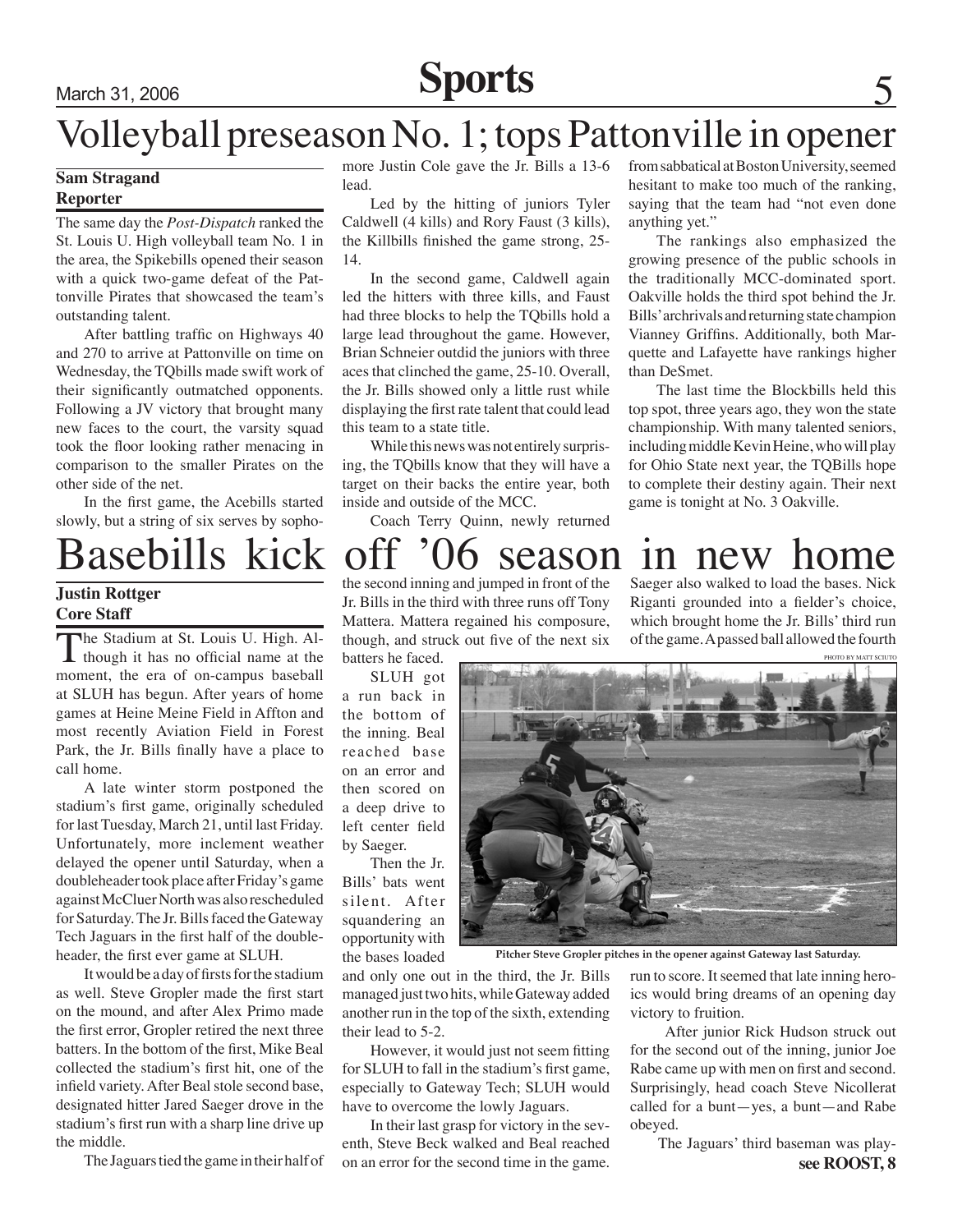March 31, 2006 **Sports**

## Volleyball preseason No. 1; tops Pattonville in opener from sabbatical at Boston University, seemed

## **Sam Stragand**

#### **Reporter**

The same day the *Post-Dispatch* ranked the St. Louis U. High volleyball team No. 1 in the area, the Spikebills opened their season with a quick two-game defeat of the Pattonville Pirates that showcased the team's outstanding talent.

After battling traffic on Highways 40 and 270 to arrive at Pattonville on time on Wednesday, the TQbills made swift work of their significantly outmatched opponents. Following a JV victory that brought many new faces to the court, the varsity squad took the floor looking rather menacing in comparison to the smaller Pirates on the other side of the net.

In the first game, the Acebills started slowly, but a string of six serves by sopho-

### **Justin Rottger Core Staff**

The Stadium at St. Louis U. High. Al- $\blacksquare$  though it has no official name at the moment, the era of on-campus baseball at SLUH has begun. After years of home games at Heine Meine Field in Affton and most recently Aviation Field in Forest Park, the Jr. Bills finally have a place to call home.

A late winter storm postponed the stadium's first game, originally scheduled for last Tuesday, March 21, until last Friday. Unfortunately, more inclement weather delayed the opener until Saturday, when a doubleheader took place after Friday's game against McCluer North was also rescheduled for Saturday. The Jr. Bills faced the Gateway Tech Jaguars in the first half of the doubleheader, the first ever game at SLUH.

It would be a day of firsts for the stadium as well. Steve Gropler made the first start on the mound, and after Alex Primo made the first error, Gropler retired the next three batters. In the bottom of the first, Mike Beal collected the stadium's first hit, one of the infield variety. After Beal stole second base, designated hitter Jared Saeger drove in the stadium's first run with a sharp line drive up the middle.

The Jaguars tied the game in their half of

more Justin Cole gave the Jr. Bills a 13-6 lead.

 Led by the hitting of juniors Tyler Caldwell (4 kills) and Rory Faust (3 kills), the Killbills finished the game strong, 25- 14.

In the second game, Caldwell again led the hitters with three kills, and Faust had three blocks to help the TQbills hold a large lead throughout the game. However, Brian Schneier outdid the juniors with three aces that clinched the game, 25-10. Overall, the Jr. Bills showed only a little rust while displaying the first rate talent that could lead this team to a state title.

While this news was not entirely surprising, the TQbills know that they will have a target on their backs the entire year, both inside and outside of the MCC.

Coach Terry Quinn, newly returned

## Basebills kick off '06 season in new home

game is tonight at No. 3 Oakville.

Saeger also walked to load the bases. Nick Riganti grounded into a fielder's choice, which brought home the Jr. Bills' third run of the game. A passed ball allowed the fourth

hesitant to make too much of the ranking, saying that the team had "not even done

 The rankings also emphasized the growing presence of the public schools in the traditionally MCC-dominated sport. Oakville holds the third spot behind the Jr. Bills' archrivals and returning state champion Vianney Griffins. Additionally, both Marquette and Lafayette have rankings higher

 The last time the Blockbills held this top spot, three years ago, they won the state championship. With many talented seniors, including middle Kevin Heine, who will play for Ohio State next year, the TQBills hope to complete their destiny again. Their next

anything yet."

than DeSmet.

the second inning and jumped in front of the Jr. Bills in the third with three runs off Tony Mattera. Mattera regained his composure, though, and struck out five of the next six

batters he faced.

SLUH got a run back in the bottom of the inning. Beal reached base on an error and then scored on a deep drive to left center field by Saeger.

 Then the Jr. Bills' bats went silent. After squandering an opportunity with the bases loaded



**Pitcher Steve Gropler pitches in the opener against Gateway last Saturday.**

and only one out in the third, the Jr. Bills managed just two hits, while Gateway added another run in the top of the sixth, extending their lead to 5-2.

However, it would just not seem fitting for SLUH to fall in the stadium's first game, especially to Gateway Tech; SLUH would have to overcome the lowly Jaguars.

In their last grasp for victory in the seventh, Steve Beck walked and Beal reached on an error for the second time in the game.

run to score. It seemed that late inning heroics would bring dreams of an opening day victory to fruition.

 After junior Rick Hudson struck out for the second out of the inning, junior Joe Rabe came up with men on first and second. Surprisingly, head coach Steve Nicollerat called for a bunt—yes, a bunt—and Rabe obeyed.

 The Jaguars' third baseman was play**see ROOST, 8**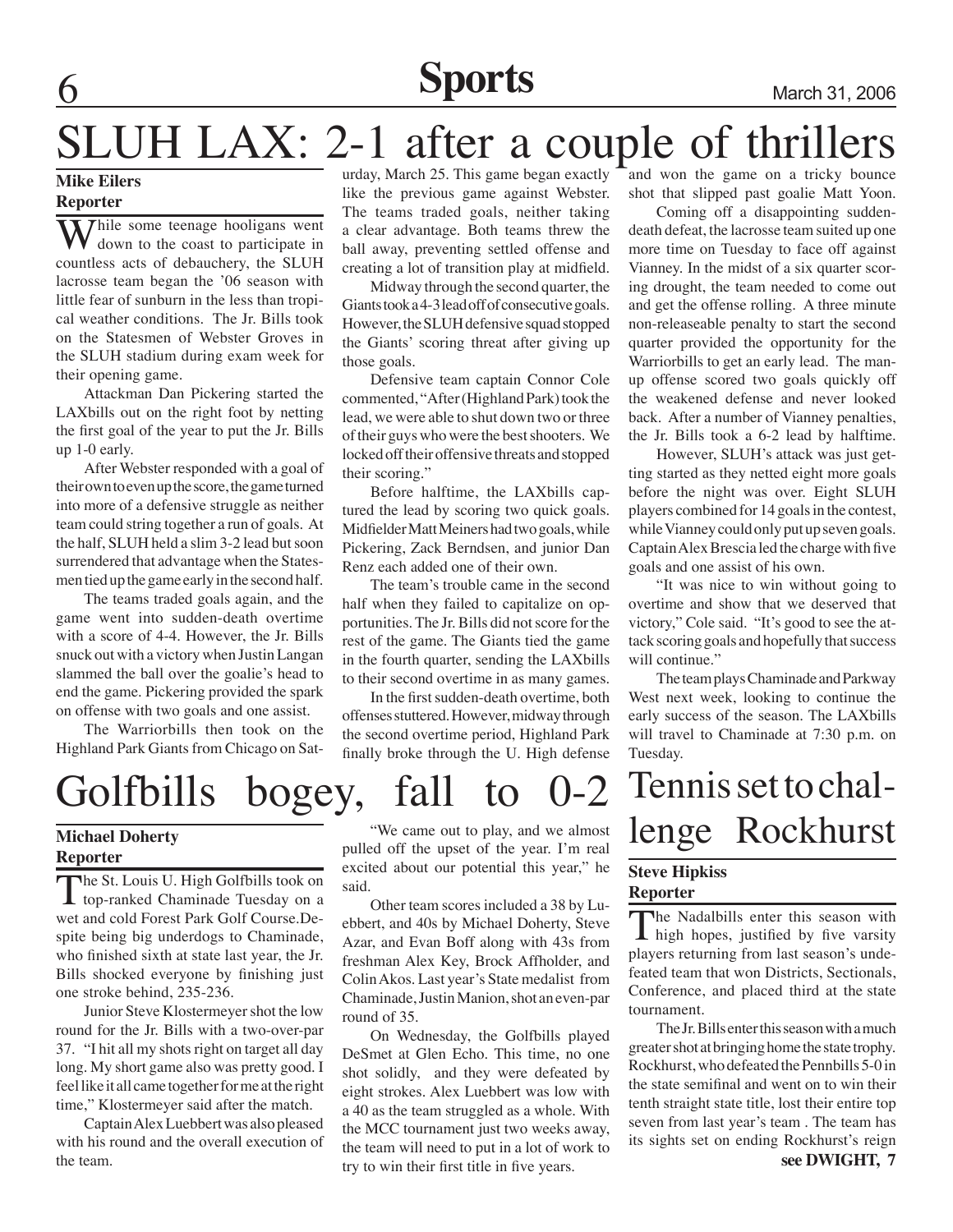## **6 Sports** March 31, 2006

## SLUH LAX: 2-1 after a couple of thrillers

## **Mike Eilers**

### **Reporter**

**While some teenage hooligans went** down to the coast to participate in countless acts of debauchery, the SLUH lacrosse team began the '06 season with little fear of sunburn in the less than tropical weather conditions. The Jr. Bills took on the Statesmen of Webster Groves in the SLUH stadium during exam week for their opening game.

Attackman Dan Pickering started the LAXbills out on the right foot by netting the first goal of the year to put the Jr. Bills up 1-0 early.

After Webster responded with a goal of their own to even up the score, the game turned into more of a defensive struggle as neither team could string together a run of goals. At the half, SLUH held a slim 3-2 lead but soon surrendered that advantage when the Statesmen tied up the game early in the second half.

 The teams traded goals again, and the game went into sudden-death overtime with a score of 4-4. However, the Jr. Bills snuck out with a victory when Justin Langan slammed the ball over the goalie's head to end the game. Pickering provided the spark on offense with two goals and one assist.

 The Warriorbills then took on the Highland Park Giants from Chicago on Saturday, March 25. This game began exactly like the previous game against Webster. The teams traded goals, neither taking a clear advantage. Both teams threw the ball away, preventing settled offense and creating a lot of transition play at midfield.

Midway through the second quarter, the Giants took a 4-3 lead off of consecutive goals. However, the SLUH defensive squad stopped the Giants' scoring threat after giving up those goals.

Defensive team captain Connor Cole commented, "After (Highland Park) took the lead, we were able to shut down two or three of their guys who were the best shooters. We locked off their offensive threats and stopped their scoring."

 Before halftime, the LAXbills captured the lead by scoring two quick goals. Midfielder Matt Meiners had two goals, while Pickering, Zack Berndsen, and junior Dan Renz each added one of their own.

 The team's trouble came in the second half when they failed to capitalize on opportunities. The Jr. Bills did not score for the rest of the game. The Giants tied the game in the fourth quarter, sending the LAXbills to their second overtime in as many games.

In the first sudden-death overtime, both offenses stuttered. However, midway through the second overtime period, Highland Park finally broke through the U. High defense



## **Reporter**

The St. Louis U. High Golfbills took on **L** top-ranked Chaminade Tuesday on a wet and cold Forest Park Golf Course.Despite being big underdogs to Chaminade, who finished sixth at state last year, the Jr. Bills shocked everyone by finishing just one stroke behind, 235-236.

Junior Steve Klostermeyer shot the low round for the Jr. Bills with a two-over-par 37. "I hit all my shots right on target all day long. My short game also was pretty good. I feel like it all came together for me at the right time," Klostermeyer said after the match.

Captain Alex Luebbert was also pleased with his round and the overall execution of the team.

"We came out to play, and we almost pulled off the upset of the year. I'm real excited about our potential this year," he said.

 Other team scores included a 38 by Luebbert, and 40s by Michael Doherty, Steve Azar, and Evan Boff along with 43s from freshman Alex Key, Brock Affholder, and Colin Akos. Last year's State medalist from Chaminade, Justin Manion, shot an even-par round of 35.

 On Wednesday, the Golfbills played DeSmet at Glen Echo. This time, no one shot solidly, and they were defeated by eight strokes. Alex Luebbert was low with a 40 as the team struggled as a whole. With the MCC tournament just two weeks away, the team will need to put in a lot of work to try to win their first title in five years.

and won the game on a tricky bounce shot that slipped past goalie Matt Yoon.

Coming off a disappointing suddendeath defeat, the lacrosse team suited up one more time on Tuesday to face off against Vianney. In the midst of a six quarter scoring drought, the team needed to come out and get the offense rolling. A three minute non-releaseable penalty to start the second quarter provided the opportunity for the Warriorbills to get an early lead. The manup offense scored two goals quickly off the weakened defense and never looked back. After a number of Vianney penalties, the Jr. Bills took a 6-2 lead by halftime.

However, SLUH's attack was just getting started as they netted eight more goals before the night was over. Eight SLUH players combined for 14 goals in the contest, while Vianney could only put up seven goals. Captain Alex Brescia led the charge with five goals and one assist of his own.

"It was nice to win without going to overtime and show that we deserved that victory," Cole said. "It's good to see the attack scoring goals and hopefully that success will continue."

 The team plays Chaminade and Parkway West next week, looking to continue the early success of the season. The LAXbills will travel to Chaminade at 7:30 p.m. on Tuesday.

### **Steve Hipkiss Reporter**

The Nadalbills enter this season with  $\blacksquare$  high hopes, justified by five varsity players returning from last season's undefeated team that won Districts, Sectionals, Conference, and placed third at the state tournament.

 The Jr. Bills enter this season with a much greater shot at bringing home the state trophy. Rockhurst, who defeated the Pennbills 5-0 in the state semifinal and went on to win their tenth straight state title, lost their entire top seven from last year's team . The team has its sights set on ending Rockhurst's reign **see DWIGHT, 7**

# Michael Doherty **and We came out to play, and we almost** lenge Rockhurst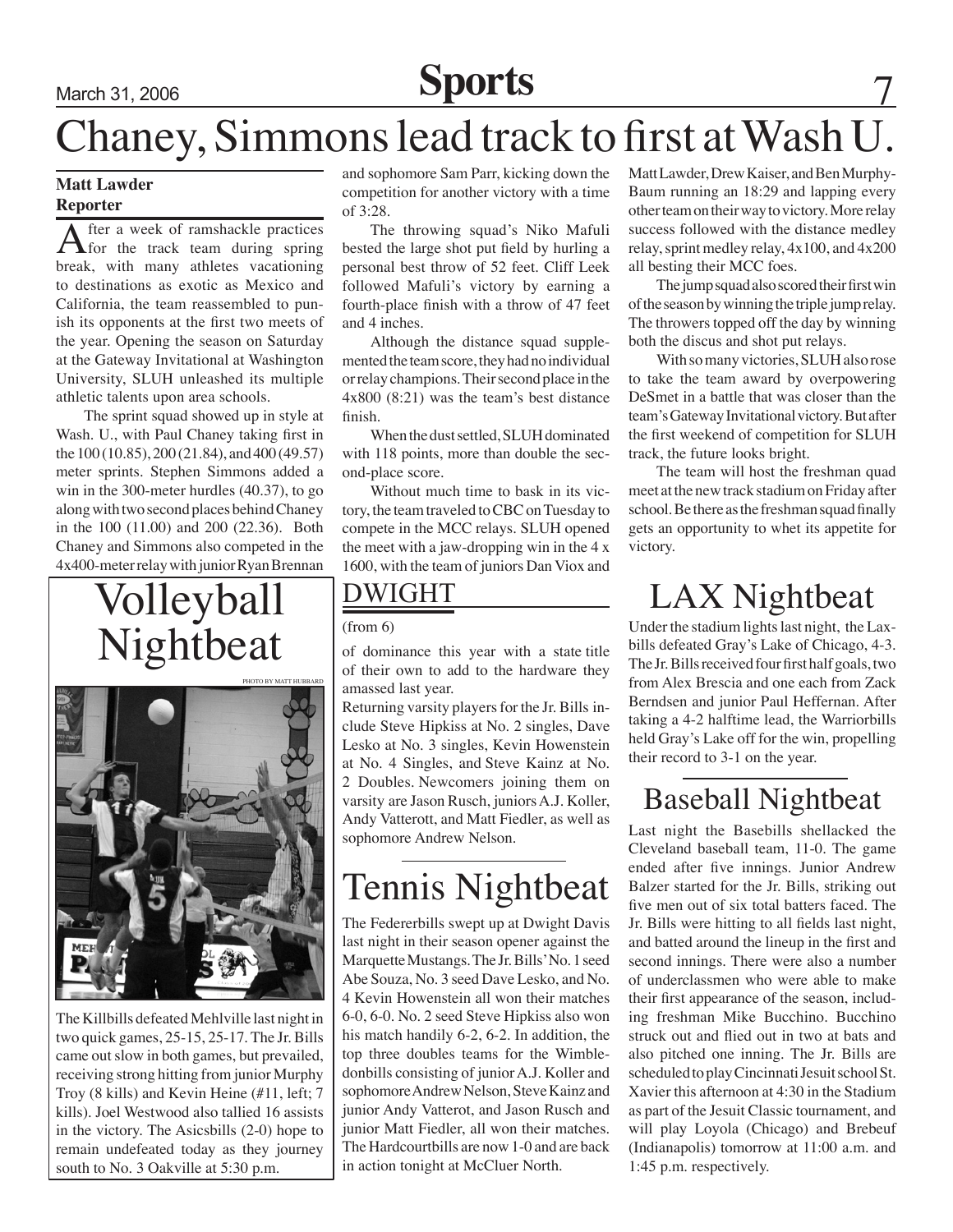# March 31, 2006 **Sports** 7

## Chaney, Simmons lead track to first at Wash U.

### **Matt Lawder Reporter**

After a week of ramshackle practices for the track team during spring break, with many athletes vacationing to destinations as exotic as Mexico and California, the team reassembled to punish its opponents at the first two meets of the year. Opening the season on Saturday at the Gateway Invitational at Washington University, SLUH unleashed its multiple athletic talents upon area schools.

 The sprint squad showed up in style at Wash. U., with Paul Chaney taking first in the 100 (10.85), 200 (21.84), and 400 (49.57) meter sprints. Stephen Simmons added a win in the 300-meter hurdles (40.37), to go along with two second places behind Chaney in the 100 (11.00) and 200 (22.36). Both Chaney and Simmons also competed in the 4x400-meter relay with junior Ryan Brennan

## Volleyball Nightbeat



The Killbills defeated Mehlville last night in two quick games, 25-15, 25-17. The Jr. Bills came out slow in both games, but prevailed, receiving strong hitting from junior Murphy Troy (8 kills) and Kevin Heine (#11, left; 7 kills). Joel Westwood also tallied 16 assists in the victory. The Asicsbills (2-0) hope to remain undefeated today as they journey south to No. 3 Oakville at 5:30 p.m.

and sophomore Sam Parr, kicking down the competition for another victory with a time of  $3.28$ 

 The throwing squad's Niko Mafuli bested the large shot put field by hurling a personal best throw of 52 feet. Cliff Leek followed Mafuli's victory by earning a fourth-place finish with a throw of 47 feet and 4 inches.

Although the distance squad supplemented the team score, they had no individual or relay champions. Their second place in the 4x800 (8:21) was the team's best distance finish.

When the dust settled, SLUH dominated with 118 points, more than double the second-place score.

Without much time to bask in its victory, the team traveled to CBC on Tuesday to compete in the MCC relays. SLUH opened the meet with a jaw-dropping win in the 4 x 1600, with the team of juniors Dan Viox and

## DWIGHT

### $(from 6)$

of dominance this year with a state title of their own to add to the hardware they amassed last year.

Returning varsity players for the Jr. Bills include Steve Hipkiss at No. 2 singles, Dave Lesko at No. 3 singles, Kevin Howenstein at No. 4 Singles, and Steve Kainz at No. 2 Doubles. Newcomers joining them on varsity are Jason Rusch, juniors A.J. Koller, Andy Vatterott, and Matt Fiedler, as well as sophomore Andrew Nelson.

## Tennis Nightbeat

The Federerbills swept up at Dwight Davis last night in their season opener against the Marquette Mustangs. The Jr. Bills' No. 1 seed Abe Souza, No. 3 seed Dave Lesko, and No. 4 Kevin Howenstein all won their matches 6-0, 6-0. No. 2 seed Steve Hipkiss also won his match handily 6-2, 6-2. In addition, the top three doubles teams for the Wimbledonbills consisting of junior A.J. Koller and sophomore Andrew Nelson, Steve Kainz and junior Andy Vatterot, and Jason Rusch and junior Matt Fiedler, all won their matches. The Hardcourtbills are now 1-0 and are back in action tonight at McCluer North.

Matt Lawder, Drew Kaiser, and Ben Murphy-Baum running an 18:29 and lapping every other team on their way to victory. More relay success followed with the distance medley relay, sprint medley relay, 4x100, and 4x200 all besting their MCC foes.

 The jump squad also scored their first win of the season by winning the triple jump relay. The throwers topped off the day by winning both the discus and shot put relays.

With so many victories, SLUH also rose to take the team award by overpowering DeSmet in a battle that was closer than the team's Gateway Invitational victory. But after the first weekend of competition for SLUH track, the future looks bright.

 The team will host the freshman quad meet at the new track stadium on Friday after school. Be there as the freshman squad finally gets an opportunity to whet its appetite for victory.

## LAX Nightbeat

Under the stadium lights last night, the Laxbills defeated Gray's Lake of Chicago, 4-3. The Jr. Bills received four first half goals, two from Alex Brescia and one each from Zack Berndsen and junior Paul Heffernan. After taking a 4-2 halftime lead, the Warriorbills held Gray's Lake off for the win, propelling their record to 3-1 on the year.

## Baseball Nightbeat

Last night the Basebills shellacked the Cleveland baseball team, 11-0. The game ended after five innings. Junior Andrew Balzer started for the Jr. Bills, striking out five men out of six total batters faced. The Jr. Bills were hitting to all fields last night, and batted around the lineup in the first and second innings. There were also a number of underclassmen who were able to make their first appearance of the season, including freshman Mike Bucchino. Bucchino struck out and flied out in two at bats and also pitched one inning. The Jr. Bills are scheduled to play Cincinnati Jesuit school St. Xavier this afternoon at 4:30 in the Stadium as part of the Jesuit Classic tournament, and will play Loyola (Chicago) and Brebeuf (Indianapolis) tomorrow at 11:00 a.m. and 1:45 p.m. respectively.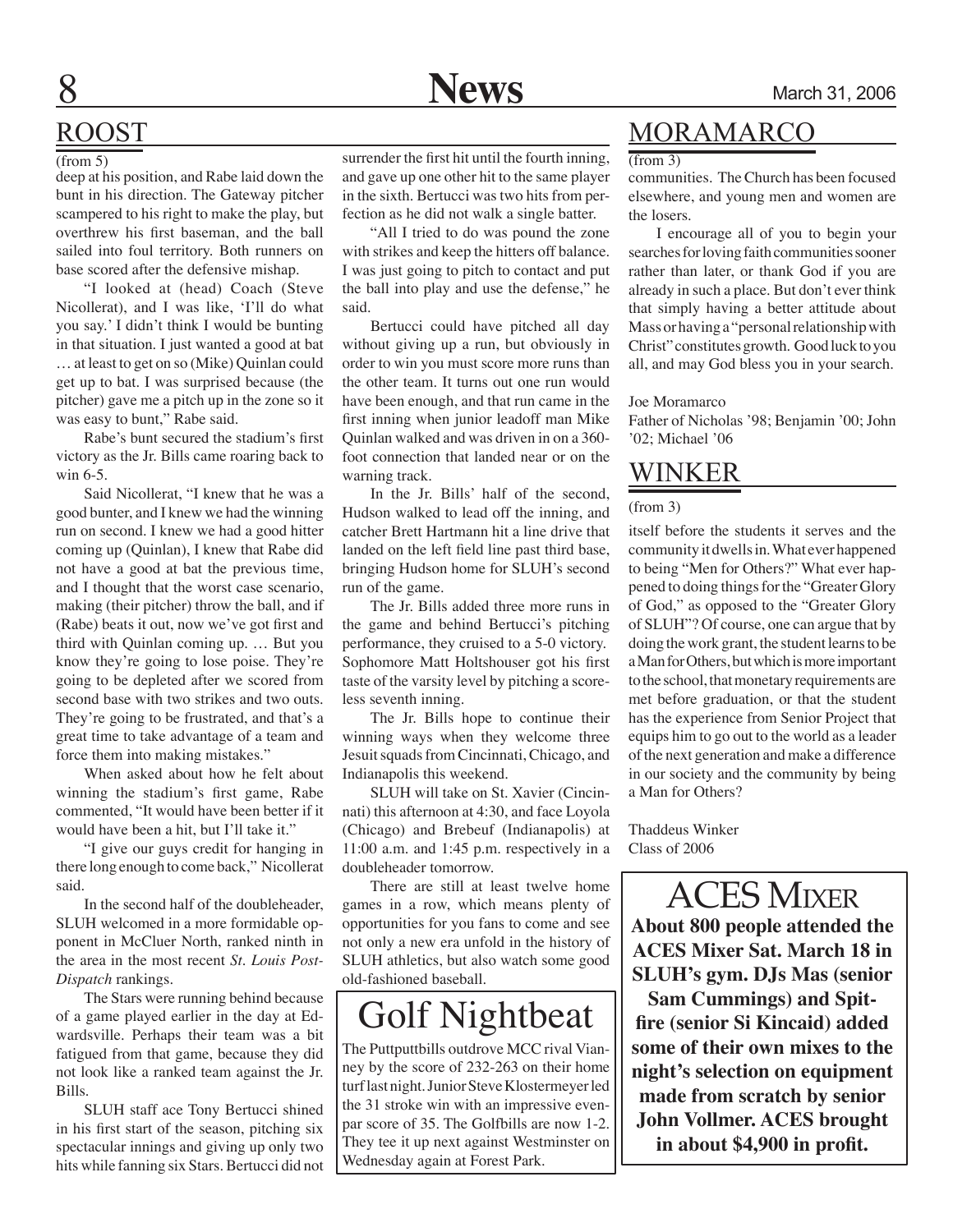## ROOST

(from 5)

deep at his position, and Rabe laid down the bunt in his direction. The Gateway pitcher scampered to his right to make the play, but overthrew his first baseman, and the ball sailed into foul territory. Both runners on base scored after the defensive mishap.

"I looked at (head) Coach (Steve Nicollerat), and I was like, 'I'll do what you say.' I didn't think I would be bunting in that situation. I just wanted a good at bat … at least to get on so (Mike) Quinlan could get up to bat. I was surprised because (the pitcher) gave me a pitch up in the zone so it was easy to bunt," Rabe said.

 Rabe's bunt secured the stadium's first victory as the Jr. Bills came roaring back to win 6-5.

Said Nicollerat, "I knew that he was a good bunter, and I knew we had the winning run on second. I knew we had a good hitter coming up (Quinlan), I knew that Rabe did not have a good at bat the previous time, and I thought that the worst case scenario, making (their pitcher) throw the ball, and if (Rabe) beats it out, now we've got first and third with Quinlan coming up. … But you know they're going to lose poise. They're going to be depleted after we scored from second base with two strikes and two outs. They're going to be frustrated, and that's a great time to take advantage of a team and force them into making mistakes."

When asked about how he felt about winning the stadium's first game, Rabe commented, "It would have been better if it would have been a hit, but I'll take it."

"I give our guys credit for hanging in there long enough to come back," Nicollerat said.

In the second half of the doubleheader, SLUH welcomed in a more formidable opponent in McCluer North, ranked ninth in the area in the most recent *St. Louis Post-Dispatch* rankings.

 The Stars were running behind because of a game played earlier in the day at Edwardsville. Perhaps their team was a bit fatigued from that game, because they did not look like a ranked team against the Jr. Bills.

SLUH staff ace Tony Bertucci shined in his first start of the season, pitching six spectacular innings and giving up only two hits while fanning six Stars. Bertucci did not

surrender the first hit until the fourth inning, and gave up one other hit to the same player in the sixth. Bertucci was two hits from perfection as he did not walk a single batter.

"All I tried to do was pound the zone with strikes and keep the hitters off balance. I was just going to pitch to contact and put the ball into play and use the defense," he said.

 Bertucci could have pitched all day without giving up a run, but obviously in order to win you must score more runs than the other team. It turns out one run would have been enough, and that run came in the first inning when junior leadoff man Mike Quinlan walked and was driven in on a 360 foot connection that landed near or on the warning track.

In the Jr. Bills' half of the second, Hudson walked to lead off the inning, and catcher Brett Hartmann hit a line drive that landed on the left field line past third base, bringing Hudson home for SLUH's second run of the game.

 The Jr. Bills added three more runs in the game and behind Bertucci's pitching performance, they cruised to a 5-0 victory. Sophomore Matt Holtshouser got his first taste of the varsity level by pitching a scoreless seventh inning.

 The Jr. Bills hope to continue their winning ways when they welcome three Jesuit squads from Cincinnati, Chicago, and Indianapolis this weekend.

SLUH will take on St. Xavier (Cincinnati) this afternoon at 4:30, and face Loyola (Chicago) and Brebeuf (Indianapolis) at 11:00 a.m. and 1:45 p.m. respectively in a doubleheader tomorrow.

 There are still at least twelve home games in a row, which means plenty of opportunities for you fans to come and see not only a new era unfold in the history of SLUH athletics, but also watch some good old-fashioned baseball.

## Golf Nightbeat

The Puttputtbills outdrove MCC rival Vianney by the score of 232-263 on their home turf last night. Junior Steve Klostermeyer led the 31 stroke win with an impressive evenpar score of 35. The Golfbills are now 1-2. They tee it up next against Westminster on Wednesday again at Forest Park.

## **MORAMARCO**

 $(from 3)$ 

communities. The Church has been focused elsewhere, and young men and women are the losers.

I encourage all of you to begin your searches for loving faith communities sooner rather than later, or thank God if you are already in such a place. But don't ever think that simply having a better attitude about Mass or having a "personal relationship with Christ" constitutes growth. Good luck to you all, and may God bless you in your search.

#### Joe Moramarco

Father of Nicholas '98; Benjamin '00; John '02; Michael '06

## Winker

(from 3)

itself before the students it serves and the community it dwells in. What ever happened to being "Men for Others?" What ever happened to doing things for the "Greater Glory of God," as opposed to the "Greater Glory of SLUH"? Of course, one can argue that by doing the work grant, the student learns to be a Man for Others, but which is more important to the school, that monetary requirements are met before graduation, or that the student has the experience from Senior Project that equips him to go out to the world as a leader of the next generation and make a difference in our society and the community by being a Man for Others?

Thaddeus Winker Class of 2006

ACES Mixer **About 800 people attended the ACES Mixer Sat. March 18 in SLUH's gym. DJs Mas (senior** 

**Sam Cummings) and Spitfire (senior Si Kincaid) added some of their own mixes to the night's selection on equipment made from scratch by senior John Vollmer. ACES brought in about \$4,900 in profit.**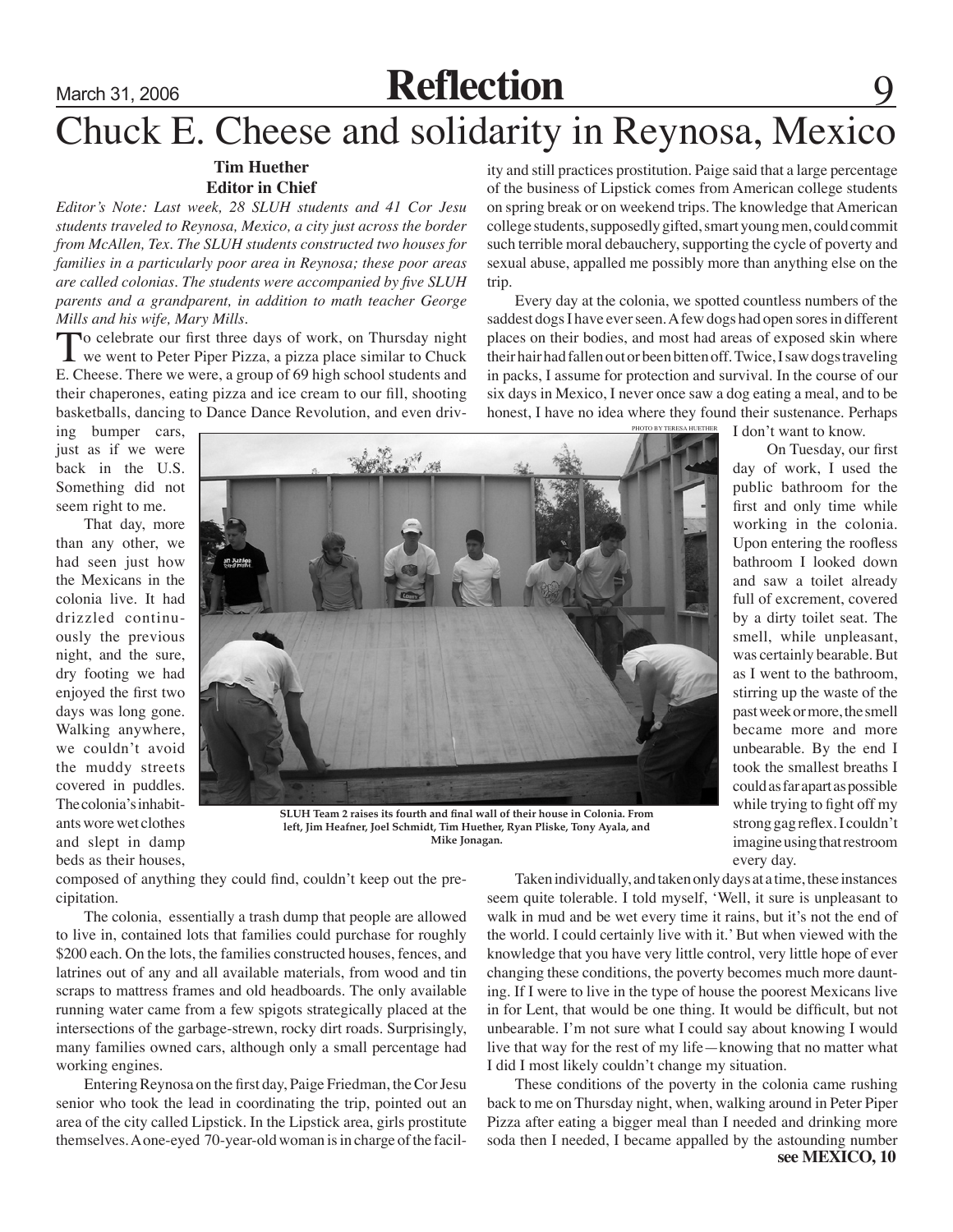## March 31, 2006 **Reflection**

## Chuck E. Cheese and solidarity in Reynosa, Mexico

### **Tim Huether Editor in Chief**

*Editor's Note: Last week, 28 SLUH students and 41 Cor Jesu students traveled to Reynosa, Mexico, a city just across the border from McAllen, Tex. The SLUH students constructed two houses for families in a particularly poor area in Reynosa; these poor areas are called colonias. The students were accompanied by five SLUH parents and a grandparent, in addition to math teacher George Mills and his wife, Mary Mills.*

To celebrate our first three days of work, on Thursday night we went to Peter Piper Pizza, a pizza place similar to Chuck E. Cheese. There we were, a group of 69 high school students and their chaperones, eating pizza and ice cream to our fill, shooting basketballs, dancing to Dance Dance Revolution, and even driv-

ing bumper cars, just as if we were back in the U.S. Something did not seem right to me.

 That day, more than any other, we had seen just how the Mexicans in the colonia live. It had drizzled continuously the previous night, and the sure, dry footing we had enjoyed the first two days was long gone. Walking anywhere, we couldn't avoid the muddy streets covered in puddles. The colonia's inhabitants wore wet clothes and slept in damp beds as their houses,



**SLUH Team 2 raises its fourth and final wall of their house in Colonia. From left, Jim Heafner, Joel Schmidt, Tim Huether, Ryan Pliske, Tony Ayala, and Mike Jonagan.**

composed of anything they could find, couldn't keep out the precipitation.

 The colonia, essentially a trash dump that people are allowed to live in, contained lots that families could purchase for roughly \$200 each. On the lots, the families constructed houses, fences, and latrines out of any and all available materials, from wood and tin scraps to mattress frames and old headboards. The only available running water came from a few spigots strategically placed at the intersections of the garbage-strewn, rocky dirt roads. Surprisingly, many families owned cars, although only a small percentage had working engines.

Entering Reynosa on the first day, Paige Friedman, the Cor Jesu senior who took the lead in coordinating the trip, pointed out an area of the city called Lipstick. In the Lipstick area, girls prostitute themselves. A one-eyed 70-year-old woman is in charge of the facil-

 Taken individually, and taken only days at a time, these instances seem quite tolerable. I told myself, 'Well, it sure is unpleasant to walk in mud and be wet every time it rains, but it's not the end of the world. I could certainly live with it.' But when viewed with the knowledge that you have very little control, very little hope of ever changing these conditions, the poverty becomes much more daunting. If I were to live in the type of house the poorest Mexicans live in for Lent, that would be one thing. It would be difficult, but not unbearable. I'm not sure what I could say about knowing I would live that way for the rest of my life—knowing that no matter what I did I most likely couldn't change my situation.

 These conditions of the poverty in the colonia came rushing back to me on Thursday night, when, walking around in Peter Piper Pizza after eating a bigger meal than I needed and drinking more soda then I needed, I became appalled by the astounding number

ity and still practices prostitution. Paige said that a large percentage of the business of Lipstick comes from American college students on spring break or on weekend trips. The knowledge that American college students, supposedly gifted, smart young men, could commit such terrible moral debauchery, supporting the cycle of poverty and sexual abuse, appalled me possibly more than anything else on the trip.

Every day at the colonia, we spotted countless numbers of the saddest dogs I have ever seen. A few dogs had open sores in different places on their bodies, and most had areas of exposed skin where their hair had fallen out or been bitten off. Twice, I saw dogs traveling in packs, I assume for protection and survival. In the course of our six days in Mexico, I never once saw a dog eating a meal, and to be honest, I have no idea where they found their sustenance. Perhaps

I don't want to know.

 On Tuesday, our first day of work, I used the public bathroom for the first and only time while working in the colonia. Upon entering the roofless bathroom I looked down and saw a toilet already full of excrement, covered by a dirty toilet seat. The smell, while unpleasant, was certainly bearable. But as I went to the bathroom, stirring up the waste of the past week or more, the smell became more and more unbearable. By the end I took the smallest breaths I could as far apart as possible while trying to fight off my strong gag reflex. I couldn't imagine using that restroom every day.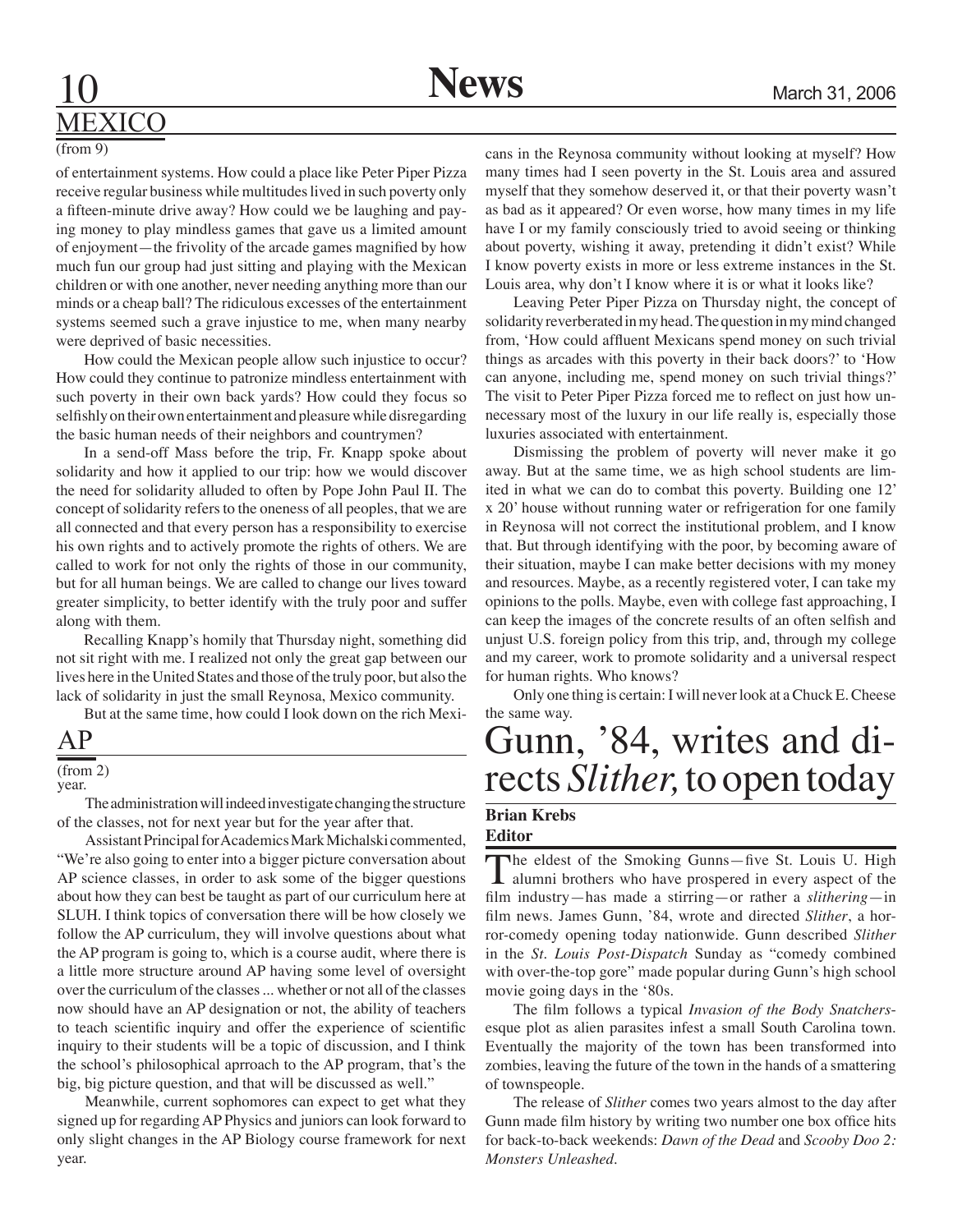## **10 News** March 31, 2006 MEXICO

#### (from 9)

of entertainment systems. How could a place like Peter Piper Pizza receive regular business while multitudes lived in such poverty only a fifteen-minute drive away? How could we be laughing and paying money to play mindless games that gave us a limited amount of enjoyment—the frivolity of the arcade games magnified by how much fun our group had just sitting and playing with the Mexican children or with one another, never needing anything more than our minds or a cheap ball? The ridiculous excesses of the entertainment systems seemed such a grave injustice to me, when many nearby were deprived of basic necessities.

How could the Mexican people allow such injustice to occur? How could they continue to patronize mindless entertainment with such poverty in their own back yards? How could they focus so selfishly on their own entertainment and pleasure while disregarding the basic human needs of their neighbors and countrymen?

In a send-off Mass before the trip, Fr. Knapp spoke about solidarity and how it applied to our trip: how we would discover the need for solidarity alluded to often by Pope John Paul II. The concept of solidarity refers to the oneness of all peoples, that we are all connected and that every person has a responsibility to exercise his own rights and to actively promote the rights of others. We are called to work for not only the rights of those in our community, but for all human beings. We are called to change our lives toward greater simplicity, to better identify with the truly poor and suffer along with them.

 Recalling Knapp's homily that Thursday night, something did not sit right with me. I realized not only the great gap between our lives here in the United States and those of the truly poor, but also the lack of solidarity in just the small Reynosa, Mexico community.

But at the same time, how could I look down on the rich Mexi-

## AP

#### (from 2)

year.

 The administration will indeed investigate changing the structure of the classes, not for next year but for the year after that.

Assistant Principal for Academics Mark Michalski commented, "We're also going to enter into a bigger picture conversation about AP science classes, in order to ask some of the bigger questions about how they can best be taught as part of our curriculum here at SLUH. I think topics of conversation there will be how closely we follow the AP curriculum, they will involve questions about what the AP program is going to, which is a course audit, where there is a little more structure around AP having some level of oversight over the curriculum of the classes ... whether or not all of the classes now should have an AP designation or not, the ability of teachers to teach scientific inquiry and offer the experience of scientific inquiry to their students will be a topic of discussion, and I think the school's philosophical aprroach to the AP program, that's the big, big picture question, and that will be discussed as well."

Meanwhile, current sophomores can expect to get what they signed up for regarding AP Physics and juniors can look forward to only slight changes in the AP Biology course framework for next year.

cans in the Reynosa community without looking at myself? How many times had I seen poverty in the St. Louis area and assured myself that they somehow deserved it, or that their poverty wasn't as bad as it appeared? Or even worse, how many times in my life have I or my family consciously tried to avoid seeing or thinking about poverty, wishing it away, pretending it didn't exist? While I know poverty exists in more or less extreme instances in the St. Louis area, why don't I know where it is or what it looks like?

 Leaving Peter Piper Pizza on Thursday night, the concept of solidarity reverberated in my head. The question in my mind changed from, 'How could affluent Mexicans spend money on such trivial things as arcades with this poverty in their back doors?' to 'How can anyone, including me, spend money on such trivial things?' The visit to Peter Piper Pizza forced me to reflect on just how unnecessary most of the luxury in our life really is, especially those luxuries associated with entertainment.

Dismissing the problem of poverty will never make it go away. But at the same time, we as high school students are limited in what we can do to combat this poverty. Building one 12' x 20' house without running water or refrigeration for one family in Reynosa will not correct the institutional problem, and I know that. But through identifying with the poor, by becoming aware of their situation, maybe I can make better decisions with my money and resources. Maybe, as a recently registered voter, I can take my opinions to the polls. Maybe, even with college fast approaching, I can keep the images of the concrete results of an often selfish and unjust U.S. foreign policy from this trip, and, through my college and my career, work to promote solidarity and a universal respect for human rights. Who knows?

 Only one thing is certain: I will never look at a Chuck E. Cheese the same way.

# Gunn, '84, writes and di- rects *Slither,* to open today

#### **Brian Krebs Editor**

The eldest of the Smoking Gunns—five St. Louis U. High alumni brothers who have prospered in every aspect of the film industry—has made a stirring—or rather a *slithering*—in film news. James Gunn, '84, wrote and directed *Slither*, a horror-comedy opening today nationwide. Gunn described *Slither* in the *St. Louis Post-Dispatch* Sunday as "comedy combined with over-the-top gore" made popular during Gunn's high school movie going days in the '80s.

 The film follows a typical *Invasion of the Body Snatchers*esque plot as alien parasites infest a small South Carolina town. Eventually the majority of the town has been transformed into zombies, leaving the future of the town in the hands of a smattering of townspeople.

The release of *Slither* comes two years almost to the day after Gunn made film history by writing two number one box office hits for back-to-back weekends: *Dawn of the Dead* and *Scooby Doo 2: Monsters Unleashed*.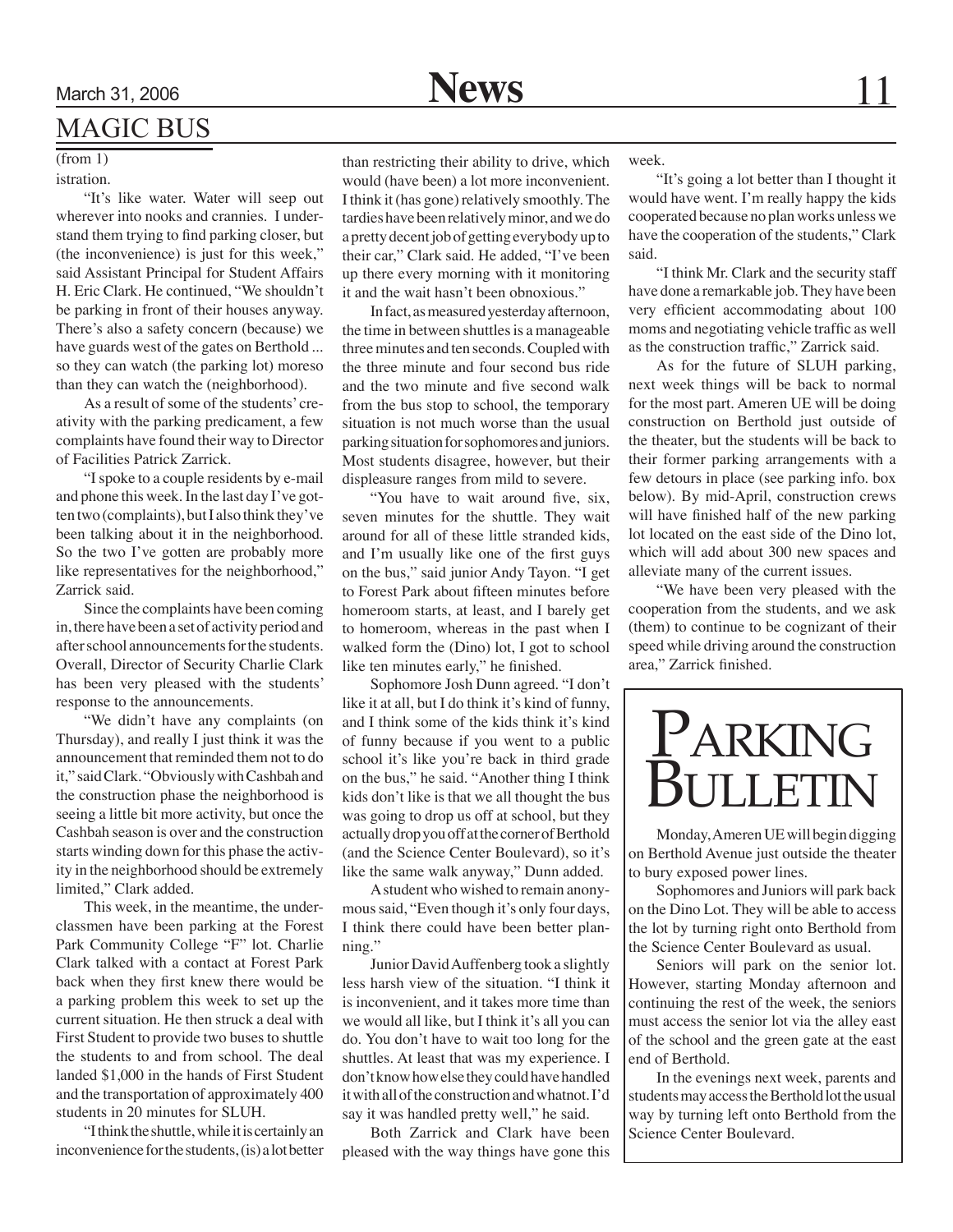## MAGIC BUS

#### $(from 1)$ istration.

"It's like water. Water will seep out wherever into nooks and crannies. I understand them trying to find parking closer, but (the inconvenience) is just for this week," said Assistant Principal for Student Affairs H. Eric Clark. He continued, "We shouldn't be parking in front of their houses anyway. There's also a safety concern (because) we have guards west of the gates on Berthold ... so they can watch (the parking lot) moreso than they can watch the (neighborhood).

As a result of some of the students' creativity with the parking predicament, a few complaints have found their way to Director of Facilities Patrick Zarrick.

"I spoke to a couple residents by e-mail and phone this week. In the last day I've gotten two (complaints), but I also think they've been talking about it in the neighborhood. So the two I've gotten are probably more like representatives for the neighborhood," Zarrick said.

Since the complaints have been coming in, there have been a set of activity period and after school announcements for the students. Overall, Director of Security Charlie Clark has been very pleased with the students' response to the announcements.

"We didn't have any complaints (on Thursday), and really I just think it was the announcement that reminded them not to do it," said Clark. "Obviously with Cashbah and the construction phase the neighborhood is seeing a little bit more activity, but once the Cashbah season is over and the construction starts winding down for this phase the activity in the neighborhood should be extremely limited," Clark added.

 This week, in the meantime, the underclassmen have been parking at the Forest Park Community College "F" lot. Charlie Clark talked with a contact at Forest Park back when they first knew there would be a parking problem this week to set up the current situation. He then struck a deal with First Student to provide two buses to shuttle the students to and from school. The deal landed \$1,000 in the hands of First Student and the transportation of approximately 400 students in 20 minutes for SLUH.

"I think the shuttle, while it is certainly an inconvenience for the students, (is) a lot better

than restricting their ability to drive, which would (have been) a lot more inconvenient. I think it (has gone) relatively smoothly. The tardies have been relatively minor, and we do a pretty decent job of getting everybody up to their car," Clark said. He added, "I've been up there every morning with it monitoring it and the wait hasn't been obnoxious."

In fact, as measured yesterday afternoon, the time in between shuttles is a manageable three minutes and ten seconds. Coupled with the three minute and four second bus ride and the two minute and five second walk from the bus stop to school, the temporary situation is not much worse than the usual parking situation for sophomores and juniors. Most students disagree, however, but their displeasure ranges from mild to severe.

"You have to wait around five, six, seven minutes for the shuttle. They wait around for all of these little stranded kids, and I'm usually like one of the first guys on the bus," said junior Andy Tayon. "I get to Forest Park about fifteen minutes before homeroom starts, at least, and I barely get to homeroom, whereas in the past when I walked form the (Dino) lot, I got to school like ten minutes early," he finished.

Sophomore Josh Dunn agreed. "I don't like it at all, but I do think it's kind of funny, and I think some of the kids think it's kind of funny because if you went to a public school it's like you're back in third grade on the bus," he said. "Another thing I think kids don't like is that we all thought the bus was going to drop us off at school, but they actually drop you off at the corner of Berthold (and the Science Center Boulevard), so it's like the same walk anyway," Dunn added.

A student who wished to remain anonymous said, "Even though it's only four days, I think there could have been better planning."

Junior David Auffenberg took a slightly less harsh view of the situation. "I think it is inconvenient, and it takes more time than we would all like, but I think it's all you can do. You don't have to wait too long for the shuttles. At least that was my experience. I don't know how else they could have handled it with all of the construction and whatnot. I'd say it was handled pretty well," he said.

 Both Zarrick and Clark have been pleased with the way things have gone this week.

"It's going a lot better than I thought it would have went. I'm really happy the kids cooperated because no plan works unless we have the cooperation of the students," Clark said.

"I think Mr. Clark and the security staff have done a remarkable job. They have been very efficient accommodating about 100 moms and negotiating vehicle traffic as well as the construction traffic," Zarrick said.

As for the future of SLUH parking, next week things will be back to normal for the most part. Ameren UE will be doing construction on Berthold just outside of the theater, but the students will be back to their former parking arrangements with a few detours in place (see parking info. box below). By mid-April, construction crews will have finished half of the new parking lot located on the east side of the Dino lot, which will add about 300 new spaces and alleviate many of the current issues.

"We have been very pleased with the cooperation from the students, and we ask (them) to continue to be cognizant of their speed while driving around the construction area," Zarrick finished.



Monday, Ameren UE will begin digging on Berthold Avenue just outside the theater to bury exposed power lines.

Sophomores and Juniors will park back on the Dino Lot. They will be able to access the lot by turning right onto Berthold from the Science Center Boulevard as usual.

Seniors will park on the senior lot. However, starting Monday afternoon and continuing the rest of the week, the seniors must access the senior lot via the alley east of the school and the green gate at the east end of Berthold.

In the evenings next week, parents and students may access the Berthold lot the usual way by turning left onto Berthold from the Science Center Boulevard.